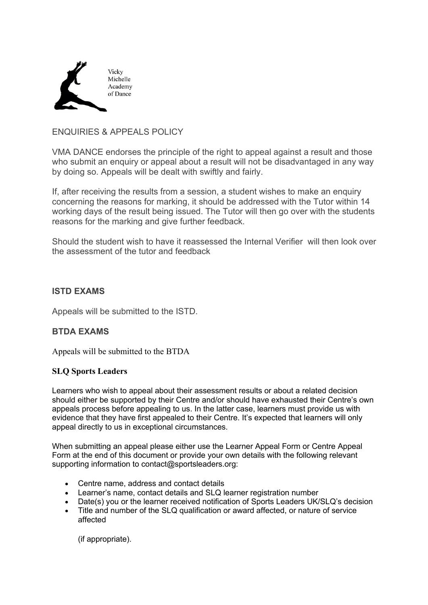

## ENQUIRIES & APPEALS POLICY

VMA DANCE endorses the principle of the right to appeal against a result and those who submit an enquiry or appeal about a result will not be disadvantaged in any way by doing so. Appeals will be dealt with swiftly and fairly.

If, after receiving the results from a session, a student wishes to make an enquiry concerning the reasons for marking, it should be addressed with the Tutor within 14 working days of the result being issued. The Tutor will then go over with the students reasons for the marking and give further feedback.

Should the student wish to have it reassessed the Internal Verifier will then look over the assessment of the tutor and feedback

## **ISTD EXAMS**

Appeals will be submitted to the ISTD.

## **BTDA EXAMS**

Appeals will be submitted to the BTDA

## **SLQ Sports Leaders**

Learners who wish to appeal about their assessment results or about a related decision should either be supported by their Centre and/or should have exhausted their Centre's own appeals process before appealing to us. In the latter case, learners must provide us with evidence that they have first appealed to their Centre. It's expected that learners will only appeal directly to us in exceptional circumstances.

When submitting an appeal please either use the Learner Appeal Form or Centre Appeal Form at the end of this document or provide your own details with the following relevant supporting information to contact@sportsleaders.org:

- Centre name, address and contact details
- Learner's name, contact details and SLQ learner registration number
- Date(s) you or the learner received notification of Sports Leaders UK/SLQ's decision
- Title and number of the SLQ qualification or award affected, or nature of service affected

(if appropriate).